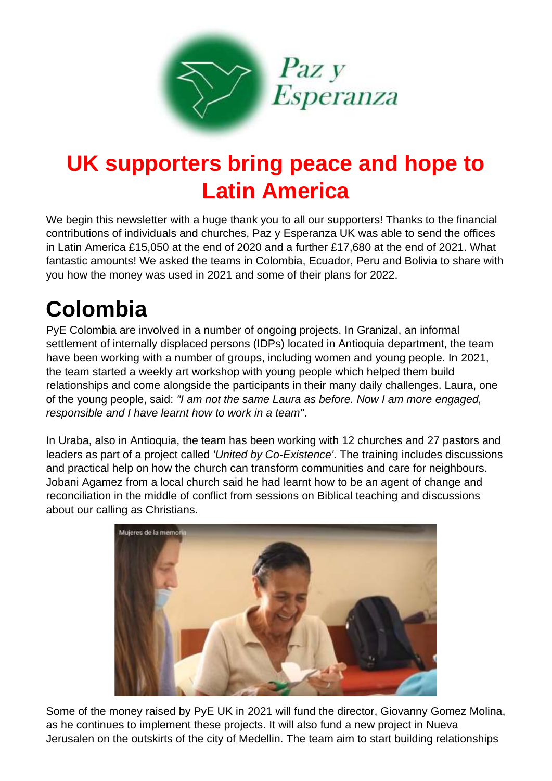

### **UK supporters bring peace and hope to Latin America**

We begin this newsletter with a huge thank you to all our supporters! Thanks to the financial contributions of individuals and churches, Paz y Esperanza UK was able to send the offices in Latin America £15,050 at the end of 2020 and a further £17,680 at the end of 2021. What fantastic amounts! We asked the teams in Colombia, Ecuador, Peru and Bolivia to share with you how the money was used in 2021 and some of their plans for 2022.

## **Colombia**

PyE Colombia are involved in a number of ongoing projects. In Granizal, an informal settlement of internally displaced persons (IDPs) located in Antioquia department, the team have been working with a number of groups, including women and young people. In 2021, the team started a weekly art workshop with young people which helped them build relationships and come alongside the participants in their many daily challenges. Laura, one of the young people, said: *"I am not the same Laura as before. Now I am more engaged, responsible and I have learnt how to work in a team"*.

In Uraba, also in Antioquia, the team has been working with 12 churches and 27 pastors and leaders as part of a project called *'United by Co-Existence'*. The training includes discussions and practical help on how the church can transform communities and care for neighbours. Jobani Agamez from a local church said he had learnt how to be an agent of change and reconciliation in the middle of conflict from sessions on Biblical teaching and discussions about our calling as Christians.



Some of the money raised by PyE UK in 2021 will fund the director, Giovanny Gomez Molina, as he continues to implement these projects. It will also fund a new project in Nueva Jerusalen on the outskirts of the city of Medellin. The team aim to start building relationships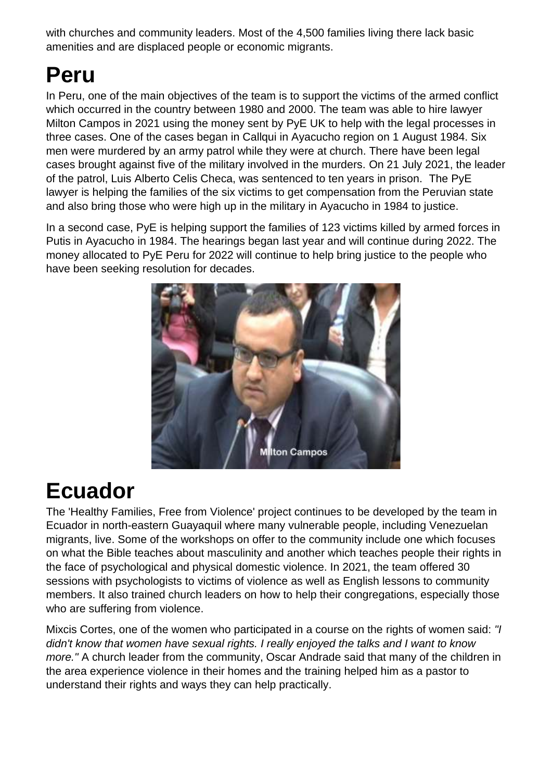with churches and community leaders. Most of the 4,500 families living there lack basic amenities and are displaced people or economic migrants.

#### **Peru**

In Peru, one of the main objectives of the team is to support the victims of the armed conflict which occurred in the country between 1980 and 2000. The team was able to hire lawyer Milton Campos in 2021 using the money sent by PyE UK to help with the legal processes in three cases. One of the cases began in Callqui in Ayacucho region on 1 August 1984. Six men were murdered by an army patrol while they were at church. There have been legal cases brought against five of the military involved in the murders. On 21 July 2021, the leader of the patrol, Luis Alberto Celis Checa, was sentenced to ten years in prison. The PyE lawyer is helping the families of the six victims to get compensation from the Peruvian state and also bring those who were high up in the military in Ayacucho in 1984 to justice.

In a second case, PyE is helping support the families of 123 victims killed by armed forces in Putis in Ayacucho in 1984. The hearings began last year and will continue during 2022. The money allocated to PyE Peru for 2022 will continue to help bring justice to the people who have been seeking resolution for decades.



#### **Ecuador**

The 'Healthy Families, Free from Violence' project continues to be developed by the team in Ecuador in north-eastern Guayaquil where many vulnerable people, including Venezuelan migrants, live. Some of the workshops on offer to the community include one which focuses on what the Bible teaches about masculinity and another which teaches people their rights in the face of psychological and physical domestic violence. In 2021, the team offered 30 sessions with psychologists to victims of violence as well as English lessons to community members. It also trained church leaders on how to help their congregations, especially those who are suffering from violence.

Mixcis Cortes, one of the women who participated in a course on the rights of women said: *"I didn't know that women have sexual rights. I really enjoyed the talks and I want to know more."* A church leader from the community, Oscar Andrade said that many of the children in the area experience violence in their homes and the training helped him as a pastor to understand their rights and ways they can help practically.